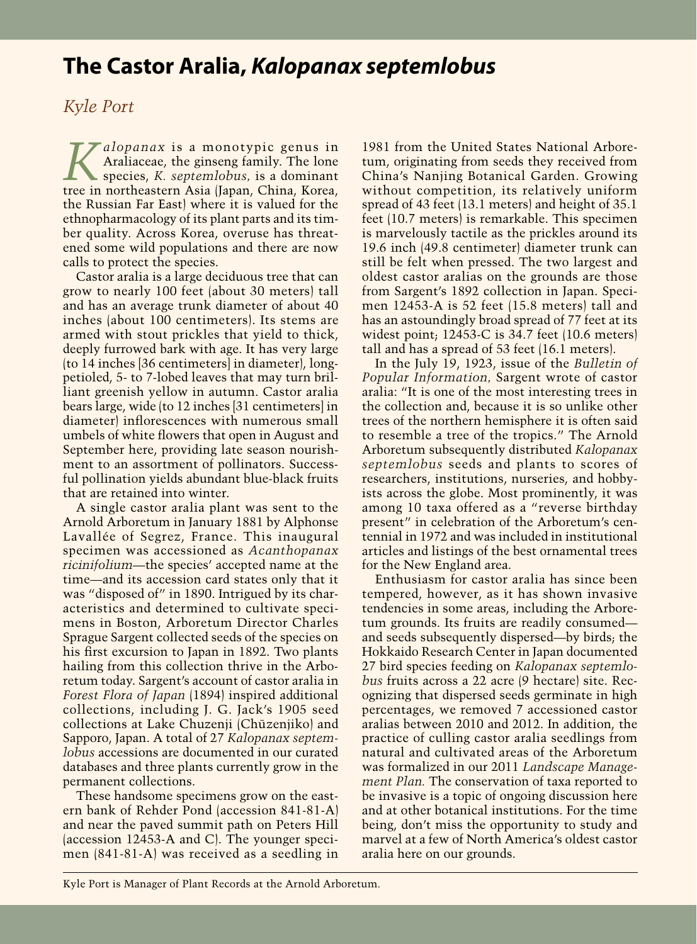## **The Castor Aralia,** *Kalopanax septemlobus*

## *Kyle Port*

*Kalopanax* is a monotypic genus in<br>Araliaceae, the ginseng family. The lone<br>respecies, *K. septemlobus*, is a dominant Araliaceae, the ginseng family. The lone species, *K. septemlobus,* is a dominant tree in northeastern Asia (Japan, China, Korea, the Russian Far East) where it is valued for the ethnopharmacology of its plant parts and its timber quality. Across Korea, overuse has threatened some wild populations and there are now calls to protect the species.

Castor aralia is a large deciduous tree that can grow to nearly 100 feet (about 30 meters) tall and has an average trunk diameter of about 40 inches (about 100 centimeters). Its stems are armed with stout prickles that yield to thick, deeply furrowed bark with age. It has very large (to 14 inches [36 centimeters] in diameter), longpetioled, 5- to 7-lobed leaves that may turn brilliant greenish yellow in autumn. Castor aralia bears large, wide (to 12 inches [31 centimeters] in diameter) inflorescences with numerous small umbels of white flowers that open in August and September here, providing late season nourishment to an assortment of pollinators. Successful pollination yields abundant blue-black fruits that are retained into winter.

A single castor aralia plant was sent to the Arnold Arboretum in January 1881 by Alphonse Lavallée of Segrez, France. This inaugural specimen was accessioned as *Acanthopanax ricinifolium—*the species' accepted name at the time—and its accession card states only that it was "disposed of" in 1890. Intrigued by its characteristics and determined to cultivate specimens in Boston, Arboretum Director Charles Sprague Sargent collected seeds of the species on his first excursion to Japan in 1892. Two plants hailing from this collection thrive in the Arboretum today. Sargent's account of castor aralia in *Forest Flora of Japan* (1894) inspired additional collections, including J. G. Jack's 1905 seed collections at Lake Chuzenji (Chūzenjiko) and Sapporo, Japan. A total of 27 *Kalopanax septemlobus* accessions are documented in our curated databases and three plants currently grow in the permanent collections.

These handsome specimens grow on the eastern bank of Rehder Pond (accession 841-81-A) and near the paved summit path on Peters Hill (accession 12453-A and C). The younger specimen (841-81-A) was received as a seedling in

1981 from the United States National Arboretum, originating from seeds they received from China's Nanjing Botanical Garden. Growing without competition, its relatively uniform spread of 43 feet (13.1 meters) and height of 35.1 feet (10.7 meters) is remarkable. This specimen is marvelously tactile as the prickles around its 19.6 inch (49.8 centimeter) diameter trunk can still be felt when pressed. The two largest and oldest castor aralias on the grounds are those from Sargent's 1892 collection in Japan. Specimen 12453-A is 52 feet (15.8 meters) tall and has an astoundingly broad spread of 77 feet at its widest point; 12453-C is 34.7 feet (10.6 meters) tall and has a spread of 53 feet (16.1 meters).

In the July 19, 1923, issue of the *Bulletin of Popular Information,* Sargent wrote of castor aralia: "It is one of the most interesting trees in the collection and, because it is so unlike other trees of the northern hemisphere it is often said to resemble a tree of the tropics." The Arnold Arboretum subsequently distributed *Kalopanax septemlobus* seeds and plants to scores of researchers, institutions, nurseries, and hobbyists across the globe. Most prominently, it was among 10 taxa offered as a "reverse birthday present" in celebration of the Arboretum's centennial in 1972 and was included in institutional articles and listings of the best ornamental trees for the New England area.

Enthusiasm for castor aralia has since been tempered, however, as it has shown invasive tendencies in some areas, including the Arboretum grounds. Its fruits are readily consumed and seeds subsequently dispersed—by birds; the Hokkaido Research Center in Japan documented 27 bird species feeding on *Kalopanax septemlobus* fruits across a 22 acre (9 hectare) site. Recognizing that dispersed seeds germinate in high percentages, we removed 7 accessioned castor aralias between 2010 and 2012. In addition, the practice of culling castor aralia seedlings from natural and cultivated areas of the Arboretum was formalized in our 2011 *Landscape Management Plan.* The conservation of taxa reported to be invasive is a topic of ongoing discussion here and at other botanical institutions. For the time being, don't miss the opportunity to study and marvel at a few of North America's oldest castor aralia here on our grounds.

Kyle Port is Manager of Plant Records at the Arnold Arboretum.